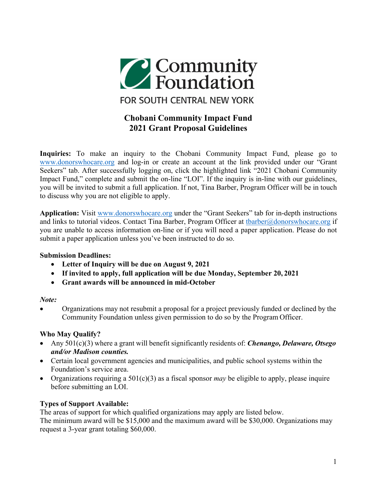

# **Chobani Community Impact Fund 2021 Grant Proposal Guidelines**

**Inquiries:** To make an inquiry to the Chobani Community Impact Fund, please go to [www.donorswhocare.org](http://www.donorswhocare.org/) and log-in or create an account at the link provided under our "Grant Seekers" tab. After successfully logging on, click the highlighted link "2021 Chobani Community" Impact Fund," complete and submit the on-line "LOI". If the inquiry is in-line with our guidelines, you will be invited to submit a full application. If not, Tina Barber, Program Officer will be in touch to discuss why you are not eligible to apply.

**Application:** Visit [www.donorswhocare.org](http://www.donorswhocare.org/) under the "Grant Seekers" tab for in-depth instructions and links to tutorial videos. Contact Tina Barber, Program Officer at [tbarber@donorswhocare.org](mailto:tbarber@donorswhocare.org) if you are unable to access information on-line or if you will need a paper application. Please do not submit a paper application unless you've been instructed to do so.

### **Submission Deadlines:**

- **Letter of Inquiry will be due on August 9, 2021**
- **If invited to apply, full application will be due Monday, September 20, 2021**
- **Grant awards will be announced in mid-October**

### *Note:*

• Organizations may not resubmit a proposal for a project previously funded or declined by the Community Foundation unless given permission to do so by the Program Officer.

## **Who May Qualify?**

- Any 501(c)(3) where a grant will benefit significantly residents of: *Chenango, Delaware, Otsego and/or Madison counties.*
- Certain local government agencies and municipalities, and public school systems within the Foundation's service area.
- Organizations requiring a 501(c)(3) as a fiscal sponsor *may* be eligible to apply, please inquire before submitting an LOI.

## **Types of Support Available:**

The areas of support for which qualified organizations may apply are listed below.

The minimum award will be \$15,000 and the maximum award will be \$30,000. Organizations may request a 3-year grant totaling \$60,000.